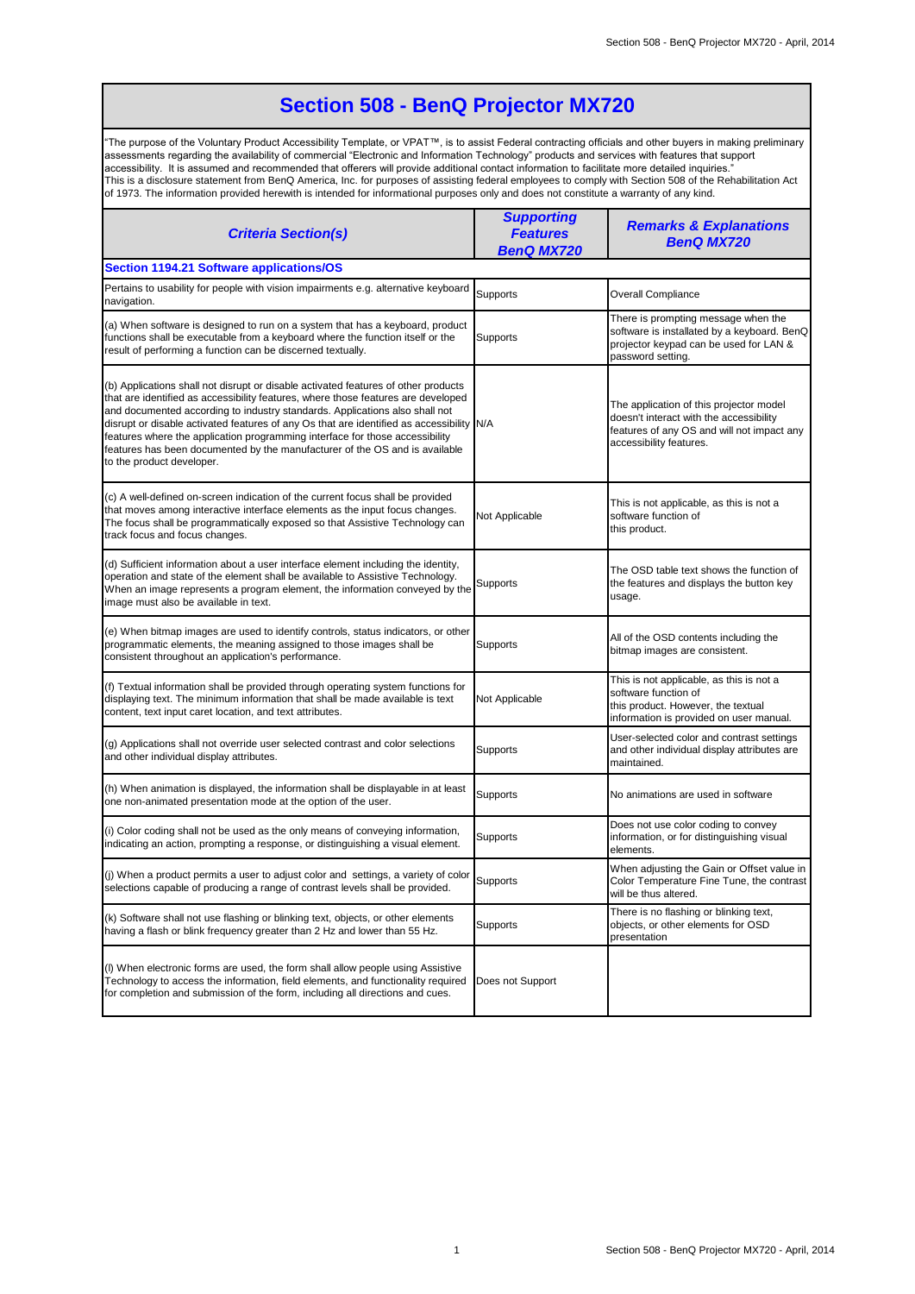## **Section 508 - BenQ Projector MX720**

"The purpose of the Voluntary Product Accessibility Template, or VPAT™, is to assist Federal contracting officials and other buyers in making preliminary assessments regarding the availability of commercial "Electronic and Information Technology" products and services with features that support accessibility. It is assumed and recommended that offerers will provide additional contact information to facilitate more detailed inquiries." This is a disclosure statement from BenQ America, Inc. for purposes of assisting federal employees to comply with Section 508 of the Rehabilitation Act of 1973. The information provided herewith is intended for informational purposes only and does not constitute a warranty of any kind.

| <b>Criteria Section(s)</b>                                                                                                                                                                                                                                                                                                                                                                                                                                                                                                                     | <b>Supporting</b><br><b>Features</b><br><b>BenQ MX720</b> | <b>Remarks &amp; Explanations</b><br><b>BenQ MX720</b>                                                                                                      |  |  |
|------------------------------------------------------------------------------------------------------------------------------------------------------------------------------------------------------------------------------------------------------------------------------------------------------------------------------------------------------------------------------------------------------------------------------------------------------------------------------------------------------------------------------------------------|-----------------------------------------------------------|-------------------------------------------------------------------------------------------------------------------------------------------------------------|--|--|
| Section 1194.21 Software applications/OS                                                                                                                                                                                                                                                                                                                                                                                                                                                                                                       |                                                           |                                                                                                                                                             |  |  |
| Pertains to usability for people with vision impairments e.g. alternative keyboard<br>navigation.                                                                                                                                                                                                                                                                                                                                                                                                                                              | Supports                                                  | <b>Overall Compliance</b>                                                                                                                                   |  |  |
| (a) When software is designed to run on a system that has a keyboard, product<br>functions shall be executable from a keyboard where the function itself or the<br>result of performing a function can be discerned textually.                                                                                                                                                                                                                                                                                                                 | Supports                                                  | There is prompting message when the<br>software is installated by a keyboard. BenQ<br>projector keypad can be used for LAN &<br>password setting.           |  |  |
| (b) Applications shall not disrupt or disable activated features of other products<br>that are identified as accessibility features, where those features are developed<br>and documented according to industry standards. Applications also shall not<br>disrupt or disable activated features of any Os that are identified as accessibility N/A<br>features where the application programming interface for those accessibility<br>features has been documented by the manufacturer of the OS and is available<br>to the product developer. |                                                           | The application of this projector model<br>doesn't interact with the accessibility<br>features of any OS and will not impact any<br>accessibility features. |  |  |
| (c) A well-defined on-screen indication of the current focus shall be provided<br>that moves among interactive interface elements as the input focus changes.<br>The focus shall be programmatically exposed so that Assistive Technology can<br>track focus and focus changes.                                                                                                                                                                                                                                                                | Not Applicable                                            | This is not applicable, as this is not a<br>software function of<br>this product.                                                                           |  |  |
| (d) Sufficient information about a user interface element including the identity,<br>operation and state of the element shall be available to Assistive Technology.<br>When an image represents a program element, the information conveyed by the<br>image must also be available in text.                                                                                                                                                                                                                                                    | Supports                                                  | The OSD table text shows the function of<br>the features and displays the button key<br>usage.                                                              |  |  |
| (e) When bitmap images are used to identify controls, status indicators, or other<br>programmatic elements, the meaning assigned to those images shall be<br>consistent throughout an application's performance.                                                                                                                                                                                                                                                                                                                               | Supports                                                  | All of the OSD contents including the<br>bitmap images are consistent.                                                                                      |  |  |
| (f) Textual information shall be provided through operating system functions for<br>displaying text. The minimum information that shall be made available is text<br>content, text input caret location, and text attributes.                                                                                                                                                                                                                                                                                                                  | Not Applicable                                            | This is not applicable, as this is not a<br>software function of<br>this product. However, the textual<br>information is provided on user manual.           |  |  |
| (g) Applications shall not override user selected contrast and color selections<br>and other individual display attributes.                                                                                                                                                                                                                                                                                                                                                                                                                    | Supports                                                  | User-selected color and contrast settings<br>and other individual display attributes are<br>maintained.                                                     |  |  |
| (h) When animation is displayed, the information shall be displayable in at least<br>one non-animated presentation mode at the option of the user.                                                                                                                                                                                                                                                                                                                                                                                             | Supports                                                  | No animations are used in software                                                                                                                          |  |  |
| (i) Color coding shall not be used as the only means of conveying information,<br>indicating an action, prompting a response, or distinguishing a visual element.                                                                                                                                                                                                                                                                                                                                                                              | Supports                                                  | Does not use color coding to convey<br>information, or for distinguishing visual<br>elements.                                                               |  |  |
| (j) When a product permits a user to adjust color and settings, a variety of color<br>selections capable of producing a range of contrast levels shall be provided.                                                                                                                                                                                                                                                                                                                                                                            | Supports                                                  | When adjusting the Gain or Offset value in<br>Color Temperature Fine Tune, the contrast<br>will be thus altered.                                            |  |  |
| (k) Software shall not use flashing or blinking text, objects, or other elements<br>having a flash or blink frequency greater than 2 Hz and lower than 55 Hz.                                                                                                                                                                                                                                                                                                                                                                                  | Supports                                                  | There is no flashing or blinking text,<br>objects, or other elements for OSD<br>presentation                                                                |  |  |
| (I) When electronic forms are used, the form shall allow people using Assistive<br>Technology to access the information, field elements, and functionality required<br>for completion and submission of the form, including all directions and cues.                                                                                                                                                                                                                                                                                           | Does not Support                                          |                                                                                                                                                             |  |  |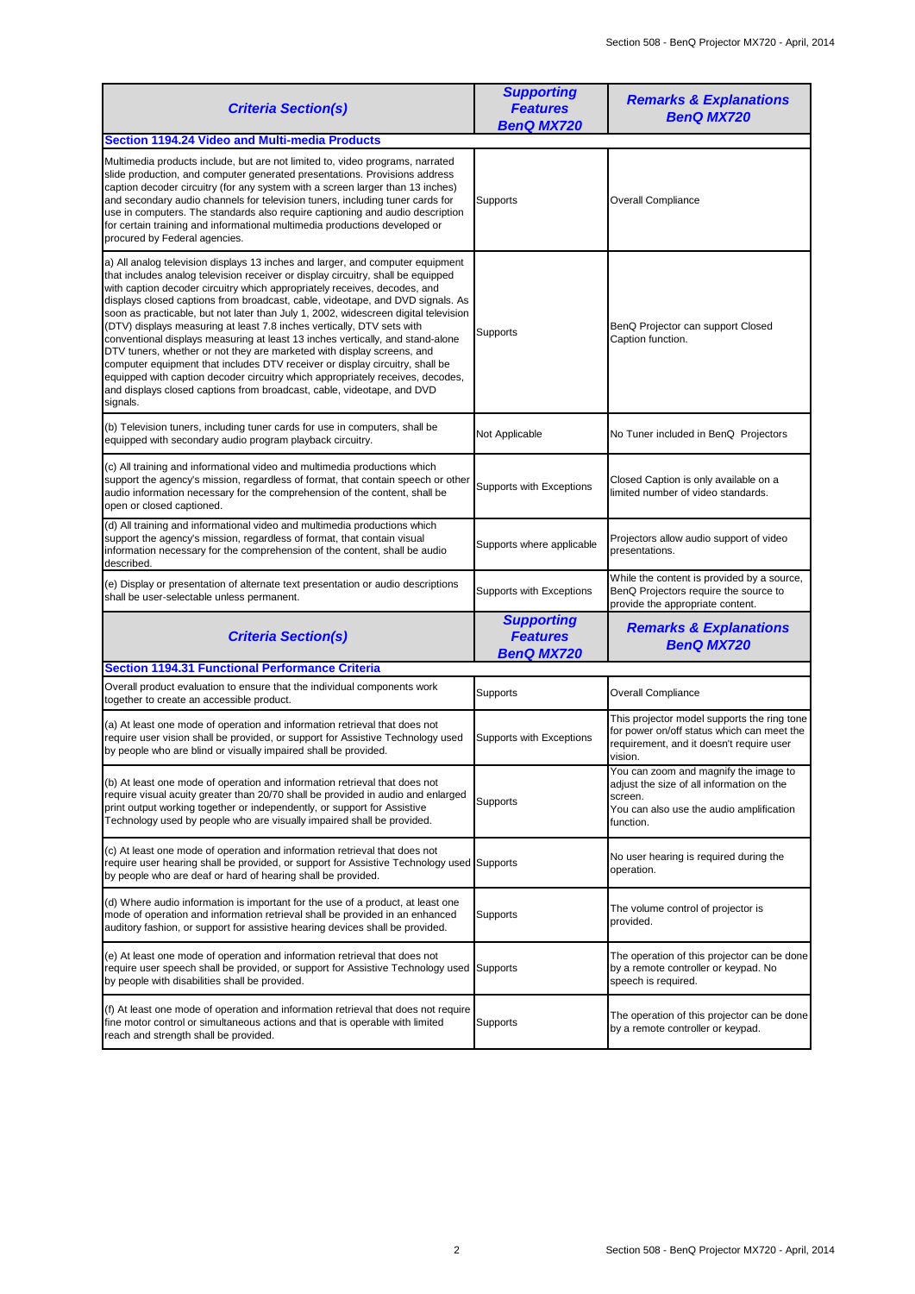| <b>Criteria Section(s)</b>                                                                                                                                                                                                                                                                                                                                                                                                                                                                                                                                                                                                                                                                                                                                                                                                                                                                                             | <b>Supporting</b><br><b>Features</b><br><b>BenQ MX720</b> | <b>Remarks &amp; Explanations</b><br><b>BenQ MX720</b>                                                                                                 |
|------------------------------------------------------------------------------------------------------------------------------------------------------------------------------------------------------------------------------------------------------------------------------------------------------------------------------------------------------------------------------------------------------------------------------------------------------------------------------------------------------------------------------------------------------------------------------------------------------------------------------------------------------------------------------------------------------------------------------------------------------------------------------------------------------------------------------------------------------------------------------------------------------------------------|-----------------------------------------------------------|--------------------------------------------------------------------------------------------------------------------------------------------------------|
| <b>Section 1194.24 Video and Multi-media Products</b>                                                                                                                                                                                                                                                                                                                                                                                                                                                                                                                                                                                                                                                                                                                                                                                                                                                                  |                                                           |                                                                                                                                                        |
| Multimedia products include, but are not limited to, video programs, narrated<br>slide production, and computer generated presentations. Provisions address<br>caption decoder circuitry (for any system with a screen larger than 13 inches)<br>and secondary audio channels for television tuners, including tuner cards for<br>use in computers. The standards also require captioning and audio description<br>for certain training and informational multimedia productions developed or<br>procured by Federal agencies.                                                                                                                                                                                                                                                                                                                                                                                         | Supports                                                  | <b>Overall Compliance</b>                                                                                                                              |
| a) All analog television displays 13 inches and larger, and computer equipment<br>that includes analog television receiver or display circuitry, shall be equipped<br>with caption decoder circuitry which appropriately receives, decodes, and<br>displays closed captions from broadcast, cable, videotape, and DVD signals. As<br>soon as practicable, but not later than July 1, 2002, widescreen digital television<br>(DTV) displays measuring at least 7.8 inches vertically, DTV sets with<br>conventional displays measuring at least 13 inches vertically, and stand-alone<br>DTV tuners, whether or not they are marketed with display screens, and<br>computer equipment that includes DTV receiver or display circuitry, shall be<br>equipped with caption decoder circuitry which appropriately receives, decodes,<br>and displays closed captions from broadcast, cable, videotape, and DVD<br>signals. | Supports                                                  | BenQ Projector can support Closed<br>Caption function.                                                                                                 |
| (b) Television tuners, including tuner cards for use in computers, shall be<br>equipped with secondary audio program playback circuitry.                                                                                                                                                                                                                                                                                                                                                                                                                                                                                                                                                                                                                                                                                                                                                                               | Not Applicable                                            | No Tuner included in BenQ Projectors                                                                                                                   |
| (c) All training and informational video and multimedia productions which<br>support the agency's mission, regardless of format, that contain speech or other<br>audio information necessary for the comprehension of the content, shall be<br>open or closed captioned.                                                                                                                                                                                                                                                                                                                                                                                                                                                                                                                                                                                                                                               | Supports with Exceptions                                  | Closed Caption is only available on a<br>limited number of video standards.                                                                            |
| (d) All training and informational video and multimedia productions which<br>support the agency's mission, regardless of format, that contain visual<br>information necessary for the comprehension of the content, shall be audio<br>described.                                                                                                                                                                                                                                                                                                                                                                                                                                                                                                                                                                                                                                                                       | Supports where applicable                                 | Projectors allow audio support of video<br>presentations.                                                                                              |
| (e) Display or presentation of alternate text presentation or audio descriptions<br>shall be user-selectable unless permanent.                                                                                                                                                                                                                                                                                                                                                                                                                                                                                                                                                                                                                                                                                                                                                                                         | Supports with Exceptions                                  | While the content is provided by a source,<br>BenQ Projectors require the source to<br>provide the appropriate content.                                |
| <b>Criteria Section(s)</b>                                                                                                                                                                                                                                                                                                                                                                                                                                                                                                                                                                                                                                                                                                                                                                                                                                                                                             | <b>Supporting</b><br><b>Features</b><br><b>BenQ MX720</b> | <b>Remarks &amp; Explanations</b><br><b>BenQ MX720</b>                                                                                                 |
| <b>Section 1194.31 Functional Performance Criteria</b>                                                                                                                                                                                                                                                                                                                                                                                                                                                                                                                                                                                                                                                                                                                                                                                                                                                                 |                                                           |                                                                                                                                                        |
| Overall product evaluation to ensure that the individual components work<br>together to create an accessible product.                                                                                                                                                                                                                                                                                                                                                                                                                                                                                                                                                                                                                                                                                                                                                                                                  | Supports                                                  | Overall Compliance                                                                                                                                     |
| (a) At least one mode of operation and information retrieval that does not<br>require user vision shall be provided, or support for Assistive Technology used<br>by people who are blind or visually impaired shall be provided.                                                                                                                                                                                                                                                                                                                                                                                                                                                                                                                                                                                                                                                                                       | Supports with Exceptions                                  | This projector model supports the ring tone<br>for power on/off status which can meet the<br>requirement, and it doesn't require user<br>vision.       |
| (b) At least one mode of operation and information retrieval that does not<br>require visual acuity greater than 20/70 shall be provided in audio and enlarged<br>print output working together or independently, or support for Assistive<br>Technology used by people who are visually impaired shall be provided.                                                                                                                                                                                                                                                                                                                                                                                                                                                                                                                                                                                                   | Supports                                                  | You can zoom and magnify the image to<br>adjust the size of all information on the<br>screen.<br>You can also use the audio amplification<br>function. |
| (c) At least one mode of operation and information retrieval that does not<br>require user hearing shall be provided, or support for Assistive Technology used Supports<br>by people who are deaf or hard of hearing shall be provided.                                                                                                                                                                                                                                                                                                                                                                                                                                                                                                                                                                                                                                                                                |                                                           | No user hearing is required during the<br>operation.                                                                                                   |
| (d) Where audio information is important for the use of a product, at least one<br>mode of operation and information retrieval shall be provided in an enhanced<br>auditory fashion, or support for assistive hearing devices shall be provided.                                                                                                                                                                                                                                                                                                                                                                                                                                                                                                                                                                                                                                                                       | Supports                                                  | The volume control of projector is<br>provided.                                                                                                        |
| (e) At least one mode of operation and information retrieval that does not<br>require user speech shall be provided, or support for Assistive Technology used Supports<br>by people with disabilities shall be provided.                                                                                                                                                                                                                                                                                                                                                                                                                                                                                                                                                                                                                                                                                               |                                                           | The operation of this projector can be done<br>by a remote controller or keypad. No<br>speech is required.                                             |
| (f) At least one mode of operation and information retrieval that does not require<br>fine motor control or simultaneous actions and that is operable with limited<br>reach and strength shall be provided.                                                                                                                                                                                                                                                                                                                                                                                                                                                                                                                                                                                                                                                                                                            | Supports                                                  | The operation of this projector can be done<br>by a remote controller or keypad.                                                                       |